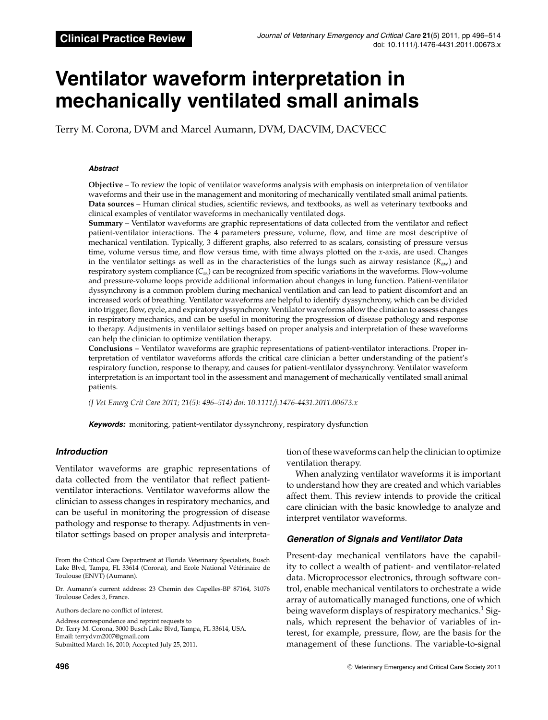# **Ventilator waveform interpretation in mechanically ventilated small animals**

Terry M. Corona, DVM and Marcel Aumann, DVM, DACVIM, DACVECC

## **Abstract**

**Objective** – To review the topic of ventilator waveforms analysis with emphasis on interpretation of ventilator waveforms and their use in the management and monitoring of mechanically ventilated small animal patients. **Data sources** – Human clinical studies, scientific reviews, and textbooks, as well as veterinary textbooks and clinical examples of ventilator waveforms in mechanically ventilated dogs.

**Summary** – Ventilator waveforms are graphic representations of data collected from the ventilator and reflect patient-ventilator interactions. The 4 parameters pressure, volume, flow, and time are most descriptive of mechanical ventilation. Typically, 3 different graphs, also referred to as scalars, consisting of pressure versus time, volume versus time, and flow versus time, with time always plotted on the *x*-axis, are used. Changes in the ventilator settings as well as in the characteristics of the lungs such as airway resistance (*R*aw) and respiratory system compliance (*C*rs) can be recognized from specific variations in the waveforms. Flow-volume and pressure-volume loops provide additional information about changes in lung function. Patient-ventilator dyssynchrony is a common problem during mechanical ventilation and can lead to patient discomfort and an increased work of breathing. Ventilator waveforms are helpful to identify dyssynchrony, which can be divided into trigger, flow, cycle, and expiratory dyssynchrony. Ventilator waveforms allow the clinician to assess changes in respiratory mechanics, and can be useful in monitoring the progression of disease pathology and response to therapy. Adjustments in ventilator settings based on proper analysis and interpretation of these waveforms can help the clinician to optimize ventilation therapy.

**Conclusions** – Ventilator waveforms are graphic representations of patient-ventilator interactions. Proper interpretation of ventilator waveforms affords the critical care clinician a better understanding of the patient's respiratory function, response to therapy, and causes for patient-ventilator dyssynchrony. Ventilator waveform interpretation is an important tool in the assessment and management of mechanically ventilated small animal patients.

*(J Vet Emerg Crit Care 2011; 21(5): 496–514) doi: 10.1111/j.1476-4431.2011.00673.x*

**Keywords:** monitoring, patient-ventilator dyssynchrony, respiratory dysfunction

## **Introduction**

Ventilator waveforms are graphic representations of data collected from the ventilator that reflect patientventilator interactions. Ventilator waveforms allow the clinician to assess changes in respiratory mechanics, and can be useful in monitoring the progression of disease pathology and response to therapy. Adjustments in ventilator settings based on proper analysis and interpreta-

From the Critical Care Department at Florida Veterinary Specialists, Busch Lake Blvd, Tampa, FL 33614 (Corona), and Ecole National Vétérinaire de Toulouse (ENVT) (Aumann).

Dr. Aumann's current address: 23 Chemin des Capelles-BP 87164, 31076 Toulouse Cedex 3, France.

Authors declare no conflict of interest.

Address correspondence and reprint requests to Dr. Terry M. Corona, 3000 Busch Lake Blvd, Tampa, FL 33614, USA. Email: terrydvm2007@gmail.com Submitted March 16, 2010; Accepted July 25, 2011.

tion of these waveforms can help the clinician to optimize ventilation therapy.

When analyzing ventilator waveforms it is important to understand how they are created and which variables affect them. This review intends to provide the critical care clinician with the basic knowledge to analyze and interpret ventilator waveforms.

## **Generation of Signals and Ventilator Data**

Present-day mechanical ventilators have the capability to collect a wealth of patient- and ventilator-related data. Microprocessor electronics, through software control, enable mechanical ventilators to orchestrate a wide array of automatically managed functions, one of which being waveform displays of respiratory mechanics.<sup>1</sup> Signals, which represent the behavior of variables of interest, for example, pressure, flow, are the basis for the management of these functions. The variable-to-signal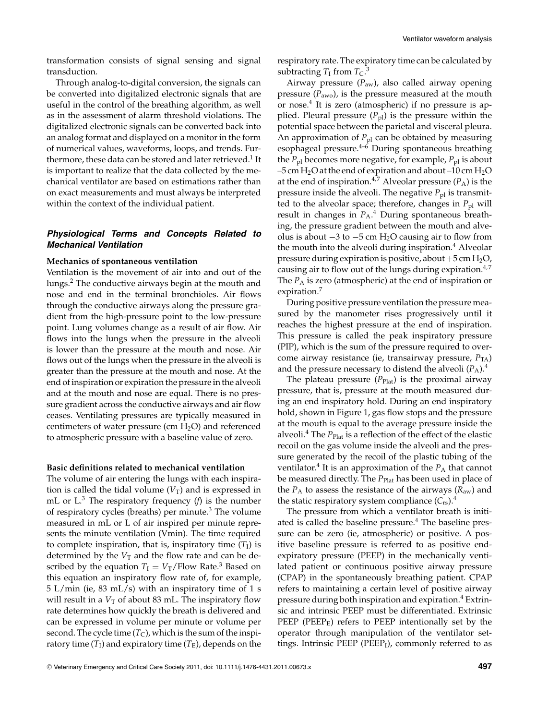transformation consists of signal sensing and signal transduction.

Through analog-to-digital conversion, the signals can be converted into digitalized electronic signals that are useful in the control of the breathing algorithm, as well as in the assessment of alarm threshold violations. The digitalized electronic signals can be converted back into an analog format and displayed on a monitor in the form of numerical values, waveforms, loops, and trends. Furthermore, these data can be stored and later retrieved.<sup>1</sup> It is important to realize that the data collected by the mechanical ventilator are based on estimations rather than on exact measurements and must always be interpreted within the context of the individual patient.

# **Physiological Terms and Concepts Related to Mechanical Ventilation**

#### **Mechanics of spontaneous ventilation**

Ventilation is the movement of air into and out of the lungs.2 The conductive airways begin at the mouth and nose and end in the terminal bronchioles. Air flows through the conductive airways along the pressure gradient from the high-pressure point to the low-pressure point. Lung volumes change as a result of air flow. Air flows into the lungs when the pressure in the alveoli is lower than the pressure at the mouth and nose. Air flows out of the lungs when the pressure in the alveoli is greater than the pressure at the mouth and nose. At the end of inspiration or expiration the pressure in the alveoli and at the mouth and nose are equal. There is no pressure gradient across the conductive airways and air flow ceases. Ventilating pressures are typically measured in centimeters of water pressure (cm  $H_2O$ ) and referenced to atmospheric pressure with a baseline value of zero.

#### **Basic definitions related to mechanical ventilation**

The volume of air entering the lungs with each inspiration is called the tidal volume  $(V_T)$  and is expressed in mL or  $L^3$ . The respiratory frequency (*f*) is the number of respiratory cycles (breaths) per minute. $3$  The volume measured in mL or L of air inspired per minute represents the minute ventilation (Vmin). The time required to complete inspiration, that is, inspiratory time  $(T_I)$  is determined by the  $V_T$  and the flow rate and can be described by the equation  $T_I = V_T/Flow$  Rate.<sup>3</sup> Based on this equation an inspiratory flow rate of, for example, 5 L/min (ie, 83 mL/s) with an inspiratory time of 1 s will result in a  $V<sub>T</sub>$  of about 83 mL. The inspiratory flow rate determines how quickly the breath is delivered and can be expressed in volume per minute or volume per second. The cycle time  $(T_C)$ , which is the sum of the inspiratory time  $(T_I)$  and expiratory time  $(T_E)$ , depends on the

respiratory rate. The expiratory time can be calculated by subtracting  $T_{\rm I}$  from  $T_{\rm C}$ .<sup>3</sup>

Airway pressure (*P*aw), also called airway opening pressure  $(P_{\text{awo}})$ , is the pressure measured at the mouth or nose.<sup>4</sup> It is zero (atmospheric) if no pressure is applied. Pleural pressure  $(P_{\text{pl}})$  is the pressure within the potential space between the parietal and visceral pleura. An approximation of  $P_{\text{pl}}$  can be obtained by measuring esophageal pressure. $4-6$  During spontaneous breathing the  $P_{\text{pl}}$  becomes more negative, for example,  $P_{\text{pl}}$  is about  $-5$  cm  $\text{H}_2\text{O}$  at the end of expiration and about  $-10$  cm  $\text{H}_2\text{O}$ at the end of inspiration.<sup>4,7</sup> Alveolar pressure  $(P_A)$  is the pressure inside the alveoli. The negative  $P_{\text{pl}}$  is transmitted to the alveolar space; therefore, changes in  $P_{\text{pl}}$  will result in changes in  $P_A$ .<sup>4</sup> During spontaneous breathing, the pressure gradient between the mouth and alveolus is about  $-3$  to  $-5$  cm H<sub>2</sub>O causing air to flow from the mouth into the alveoli during inspiration. $4$  Alveolar pressure during expiration is positive, about  $+5$  cm  $H_2O$ , causing air to flow out of the lungs during expiration. $4.7$ The  $P_A$  is zero (atmospheric) at the end of inspiration or expiration.<sup>7</sup>

During positive pressure ventilation the pressure measured by the manometer rises progressively until it reaches the highest pressure at the end of inspiration. This pressure is called the peak inspiratory pressure (PIP), which is the sum of the pressure required to overcome airway resistance (ie, transairway pressure,  $P_{TA}$ ) and the pressure necessary to distend the alveoli  $(P_A)$ .<sup>4</sup>

The plateau pressure  $(P_{\text{Plat}})$  is the proximal airway pressure, that is, pressure at the mouth measured during an end inspiratory hold. During an end inspiratory hold, shown in Figure 1, gas flow stops and the pressure at the mouth is equal to the average pressure inside the alveoli.<sup>4</sup> The  $P_{\text{Plat}}$  is a reflection of the effect of the elastic recoil on the gas volume inside the alveoli and the pressure generated by the recoil of the plastic tubing of the ventilator.<sup>4</sup> It is an approximation of the  $P_A$  that cannot be measured directly. The  $P_{\text{Plat}}$  has been used in place of the  $P_A$  to assess the resistance of the airways ( $R_{aw}$ ) and the static respiratory system compliance  $(C_{rs})$ .<sup>4</sup>

The pressure from which a ventilator breath is initiated is called the baseline pressure.<sup>4</sup> The baseline pressure can be zero (ie, atmospheric) or positive. A positive baseline pressure is referred to as positive endexpiratory pressure (PEEP) in the mechanically ventilated patient or continuous positive airway pressure (CPAP) in the spontaneously breathing patient. CPAP refers to maintaining a certain level of positive airway pressure during both inspiration and expiration.<sup>4</sup> Extrinsic and intrinsic PEEP must be differentiated. Extrinsic PEEP (PEEP $_{E}$ ) refers to PEEP intentionally set by the operator through manipulation of the ventilator settings. Intrinsic PEEP (PEEP $_I$ ), commonly referred to as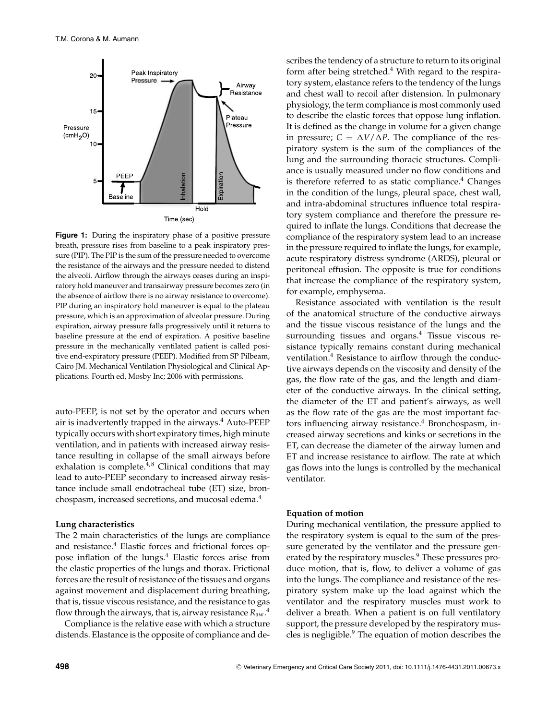

Figure 1: During the inspiratory phase of a positive pressure breath, pressure rises from baseline to a peak inspiratory pressure (PIP). The PIP is the sum of the pressure needed to overcome the resistance of the airways and the pressure needed to distend the alveoli. Airflow through the airways ceases during an inspiratory hold maneuver and transairway pressure becomes zero (in the absence of airflow there is no airway resistance to overcome). PIP during an inspiratory hold maneuver is equal to the plateau pressure, which is an approximation of alveolar pressure. During expiration, airway pressure falls progressively until it returns to baseline pressure at the end of expiration. A positive baseline pressure in the mechanically ventilated patient is called positive end-expiratory pressure (PEEP). Modified from SP Pilbeam, Cairo JM. Mechanical Ventilation Physiological and Clinical Applications. Fourth ed, Mosby Inc; 2006 with permissions.

auto-PEEP, is not set by the operator and occurs when air is inadvertently trapped in the airways. $4$  Auto-PEEP typically occurs with short expiratory times, high minute ventilation, and in patients with increased airway resistance resulting in collapse of the small airways before exhalation is complete. $4,8$  Clinical conditions that may lead to auto-PEEP secondary to increased airway resistance include small endotracheal tube (ET) size, bronchospasm, increased secretions, and mucosal edema.4

#### **Lung characteristics**

The 2 main characteristics of the lungs are compliance and resistance.<sup>4</sup> Elastic forces and frictional forces oppose inflation of the lungs. $4$  Elastic forces arise from the elastic properties of the lungs and thorax. Frictional forces are the result of resistance of the tissues and organs against movement and displacement during breathing, that is, tissue viscous resistance, and the resistance to gas flow through the airways, that is, airway resistance  $R_{\rm aw}.^4$ 

Compliance is the relative ease with which a structure distends. Elastance is the opposite of compliance and describes the tendency of a structure to return to its original form after being stretched. $4$  With regard to the respiratory system, elastance refers to the tendency of the lungs and chest wall to recoil after distension. In pulmonary physiology, the term compliance is most commonly used to describe the elastic forces that oppose lung inflation. It is defined as the change in volume for a given change in pressure;  $C = \Delta V / \Delta P$ . The compliance of the respiratory system is the sum of the compliances of the lung and the surrounding thoracic structures. Compliance is usually measured under no flow conditions and is therefore referred to as static compliance.<sup>4</sup> Changes in the condition of the lungs, pleural space, chest wall, and intra-abdominal structures influence total respiratory system compliance and therefore the pressure required to inflate the lungs. Conditions that decrease the compliance of the respiratory system lead to an increase in the pressure required to inflate the lungs, for example, acute respiratory distress syndrome (ARDS), pleural or peritoneal effusion. The opposite is true for conditions that increase the compliance of the respiratory system, for example, emphysema.

Resistance associated with ventilation is the result of the anatomical structure of the conductive airways and the tissue viscous resistance of the lungs and the surrounding tissues and organs.<sup>4</sup> Tissue viscous resistance typically remains constant during mechanical ventilation.<sup>4</sup> Resistance to airflow through the conductive airways depends on the viscosity and density of the gas, the flow rate of the gas, and the length and diameter of the conductive airways. In the clinical setting, the diameter of the ET and patient's airways, as well as the flow rate of the gas are the most important factors influencing airway resistance.<sup>4</sup> Bronchospasm, increased airway secretions and kinks or secretions in the ET, can decrease the diameter of the airway lumen and ET and increase resistance to airflow. The rate at which gas flows into the lungs is controlled by the mechanical ventilator.

### **Equation of motion**

During mechanical ventilation, the pressure applied to the respiratory system is equal to the sum of the pressure generated by the ventilator and the pressure generated by the respiratory muscles.<sup>9</sup> These pressures produce motion, that is, flow, to deliver a volume of gas into the lungs. The compliance and resistance of the respiratory system make up the load against which the ventilator and the respiratory muscles must work to deliver a breath. When a patient is on full ventilatory support, the pressure developed by the respiratory muscles is negligible.<sup>9</sup> The equation of motion describes the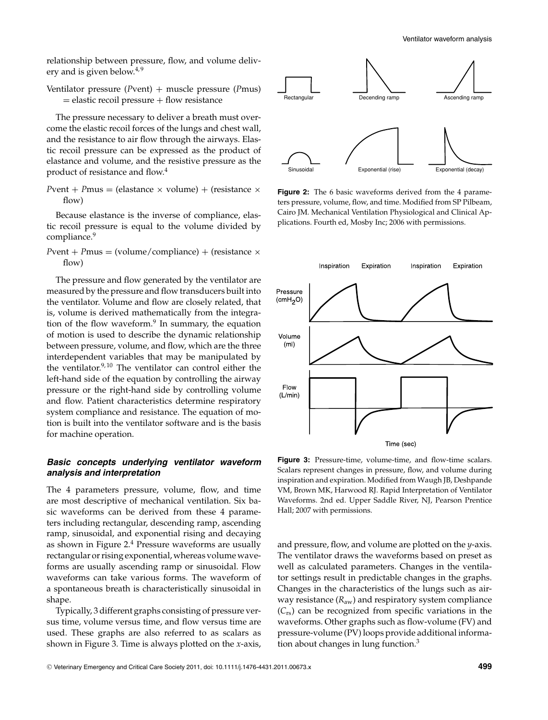relationship between pressure, flow, and volume delivery and is given below.<sup>4,9</sup>

Ventilator pressure (*P*vent) + muscle pressure (*P*mus)  $=$  elastic recoil pressure  $+$  flow resistance

The pressure necessary to deliver a breath must overcome the elastic recoil forces of the lungs and chest wall, and the resistance to air flow through the airways. Elastic recoil pressure can be expressed as the product of elastance and volume, and the resistive pressure as the product of resistance and flow.4

*Pvent* + *Pmus* = (elastance  $\times$  volume) + (resistance  $\times$ flow)

Because elastance is the inverse of compliance, elastic recoil pressure is equal to the volume divided by compliance.<sup>9</sup>

*P*vent + *P*mus = (volume/compliance) + (resistance  $\times$ flow)

The pressure and flow generated by the ventilator are measured by the pressure and flow transducers built into the ventilator. Volume and flow are closely related, that is, volume is derived mathematically from the integration of the flow waveform. $9$  In summary, the equation of motion is used to describe the dynamic relationship between pressure, volume, and flow, which are the three interdependent variables that may be manipulated by the ventilator. $9,10$  The ventilator can control either the left-hand side of the equation by controlling the airway pressure or the right-hand side by controlling volume and flow. Patient characteristics determine respiratory system compliance and resistance. The equation of motion is built into the ventilator software and is the basis for machine operation.

## **Basic concepts underlying ventilator waveform analysis and interpretation**

The 4 parameters pressure, volume, flow, and time are most descriptive of mechanical ventilation. Six basic waveforms can be derived from these 4 parameters including rectangular, descending ramp, ascending ramp, sinusoidal, and exponential rising and decaying as shown in Figure 2.4 Pressure waveforms are usually rectangular or rising exponential, whereas volume waveforms are usually ascending ramp or sinusoidal. Flow waveforms can take various forms. The waveform of a spontaneous breath is characteristically sinusoidal in shape.

Typically, 3 different graphs consisting of pressure versus time, volume versus time, and flow versus time are used. These graphs are also referred to as scalars as shown in Figure 3. Time is always plotted on the *x*-axis,



**Figure 2:** The 6 basic waveforms derived from the 4 parameters pressure, volume, flow, and time. Modified from SP Pilbeam, Cairo JM. Mechanical Ventilation Physiological and Clinical Applications. Fourth ed, Mosby Inc; 2006 with permissions.



**Figure 3:** Pressure-time, volume-time, and flow-time scalars. Scalars represent changes in pressure, flow, and volume during inspiration and expiration. Modified from Waugh JB, Deshpande VM, Brown MK, Harwood RJ. Rapid Interpretation of Ventilator Waveforms. 2nd ed. Upper Saddle River, NJ, Pearson Prentice Hall; 2007 with permissions.

and pressure, flow, and volume are plotted on the *y*-axis. The ventilator draws the waveforms based on preset as well as calculated parameters. Changes in the ventilator settings result in predictable changes in the graphs. Changes in the characteristics of the lungs such as airway resistance  $(R_{aw})$  and respiratory system compliance (*C*rs) can be recognized from specific variations in the waveforms. Other graphs such as flow-volume (FV) and pressure-volume (PV) loops provide additional information about changes in lung function. $3$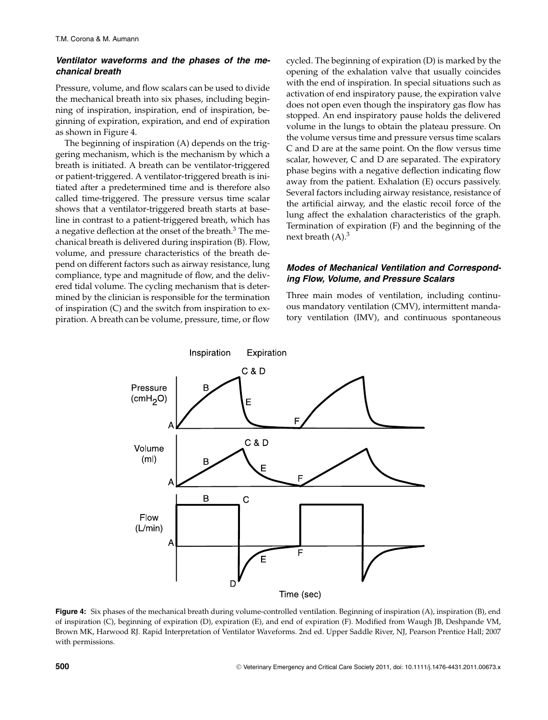## **Ventilator waveforms and the phases of the mechanical breath**

Pressure, volume, and flow scalars can be used to divide the mechanical breath into six phases, including beginning of inspiration, inspiration, end of inspiration, beginning of expiration, expiration, and end of expiration as shown in Figure 4.

The beginning of inspiration (A) depends on the triggering mechanism, which is the mechanism by which a breath is initiated. A breath can be ventilator-triggered or patient-triggered. A ventilator-triggered breath is initiated after a predetermined time and is therefore also called time-triggered. The pressure versus time scalar shows that a ventilator-triggered breath starts at baseline in contrast to a patient-triggered breath, which has a negative deflection at the onset of the breath.3 The mechanical breath is delivered during inspiration (B). Flow, volume, and pressure characteristics of the breath depend on different factors such as airway resistance, lung compliance, type and magnitude of flow, and the delivered tidal volume. The cycling mechanism that is determined by the clinician is responsible for the termination of inspiration (C) and the switch from inspiration to expiration. A breath can be volume, pressure, time, or flow

cycled. The beginning of expiration (D) is marked by the opening of the exhalation valve that usually coincides with the end of inspiration. In special situations such as activation of end inspiratory pause, the expiration valve does not open even though the inspiratory gas flow has stopped. An end inspiratory pause holds the delivered volume in the lungs to obtain the plateau pressure. On the volume versus time and pressure versus time scalars C and D are at the same point. On the flow versus time scalar, however, C and D are separated. The expiratory phase begins with a negative deflection indicating flow away from the patient. Exhalation (E) occurs passively. Several factors including airway resistance, resistance of the artificial airway, and the elastic recoil force of the lung affect the exhalation characteristics of the graph. Termination of expiration (F) and the beginning of the next breath  $(A)$ .<sup>3</sup>

# **Modes of Mechanical Ventilation and Corresponding Flow, Volume, and Pressure Scalars**

Three main modes of ventilation, including continuous mandatory ventilation (CMV), intermittent mandatory ventilation (IMV), and continuous spontaneous



**Figure 4:** Six phases of the mechanical breath during volume-controlled ventilation. Beginning of inspiration (A), inspiration (B), end of inspiration (C), beginning of expiration (D), expiration (E), and end of expiration (F). Modified from Waugh JB, Deshpande VM, Brown MK, Harwood RJ. Rapid Interpretation of Ventilator Waveforms. 2nd ed. Upper Saddle River, NJ, Pearson Prentice Hall; 2007 with permissions.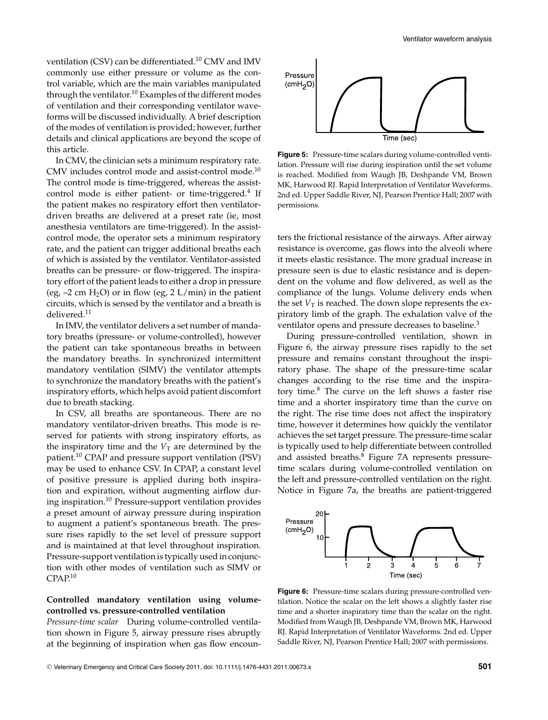ventilation (CSV) can be differentiated.<sup>10</sup> CMV and IMV commonly use either pressure or volume as the control variable, which are the main variables manipulated through the ventilator.<sup>10</sup> Examples of the different modes of ventilation and their corresponding ventilator waveforms will be discussed individually. A brief description of the modes of ventilation is provided; however, further details and clinical applications are beyond the scope of this article.

In CMV, the clinician sets a minimum respiratory rate. CMV includes control mode and assist-control mode.<sup>10</sup> The control mode is time-triggered, whereas the assistcontrol mode is either patient- or time-triggered.<sup>4</sup> If the patient makes no respiratory effort then ventilatordriven breaths are delivered at a preset rate (ie, most anesthesia ventilators are time-triggered). In the assistcontrol mode, the operator sets a minimum respiratory rate, and the patient can trigger additional breaths each of which is assisted by the ventilator. Ventilator-assisted breaths can be pressure- or flow-triggered. The inspiratory effort of the patient leads to either a drop in pressure (eg,  $-2$  cm H<sub>2</sub>O) or in flow (eg,  $2 L/min$ ) in the patient circuits, which is sensed by the ventilator and a breath is delivered.11

In IMV, the ventilator delivers a set number of mandatory breaths (pressure- or volume-controlled), however the patient can take spontaneous breaths in between the mandatory breaths. In synchronized intermittent mandatory ventilation (SIMV) the ventilator attempts to synchronize the mandatory breaths with the patient's inspiratory efforts, which helps avoid patient discomfort due to breath stacking.

In CSV, all breaths are spontaneous. There are no mandatory ventilator-driven breaths. This mode is reserved for patients with strong inspiratory efforts, as the inspiratory time and the  $V<sub>T</sub>$  are determined by the patient.<sup>10</sup> CPAP and pressure support ventilation (PSV) may be used to enhance CSV. In CPAP, a constant level of positive pressure is applied during both inspiration and expiration, without augmenting airflow during inspiration.10 Pressure-support ventilation provides a preset amount of airway pressure during inspiration to augment a patient's spontaneous breath. The pressure rises rapidly to the set level of pressure support and is maintained at that level throughout inspiration. Pressure-support ventilation is typically used in conjunction with other modes of ventilation such as SIMV or  $CPAP<sup>10</sup>$ 

## **Controlled mandatory ventilation using volumecontrolled vs. pressure-controlled ventilation**

*Pressure-time scalar* During volume-controlled ventilation shown in Figure 5, airway pressure rises abruptly at the beginning of inspiration when gas flow encoun-



**Figure 5:** Pressure-time scalars during volume-controlled ventilation. Pressure will rise during inspiration until the set volume is reached. Modified from Waugh JB, Deshpande VM, Brown MK, Harwood RJ. Rapid Interpretation of Ventilator Waveforms. 2nd ed. Upper Saddle River, NJ, Pearson Prentice Hall; 2007 with permissions.

ters the frictional resistance of the airways. After airway resistance is overcome, gas flows into the alveoli where it meets elastic resistance. The more gradual increase in pressure seen is due to elastic resistance and is dependent on the volume and flow delivered, as well as the compliance of the lungs. Volume delivery ends when the set  $V_T$  is reached. The down slope represents the expiratory limb of the graph. The exhalation valve of the ventilator opens and pressure decreases to baseline.<sup>3</sup>

During pressure-controlled ventilation, shown in Figure 6, the airway pressure rises rapidly to the set pressure and remains constant throughout the inspiratory phase. The shape of the pressure-time scalar changes according to the rise time and the inspiratory time. $8$  The curve on the left shows a faster rise time and a shorter inspiratory time than the curve on the right. The rise time does not affect the inspiratory time, however it determines how quickly the ventilator achieves the set target pressure. The pressure-time scalar is typically used to help differentiate between controlled and assisted breaths. $8$  Figure 7A represents pressuretime scalars during volume-controlled ventilation on the left and pressure-controlled ventilation on the right. Notice in Figure 7a, the breaths are patient-triggered



**Figure 6:** Pressure-time scalars during pressure-controlled ventilation. Notice the scalar on the left shows a slightly faster rise time and a shorter inspiratory time than the scalar on the right. Modified from Waugh JB, Deshpande VM, Brown MK, Harwood RJ. Rapid Interpretation of Ventilator Waveforms. 2nd ed. Upper Saddle River, NJ, Pearson Prentice Hall; 2007 with permissions.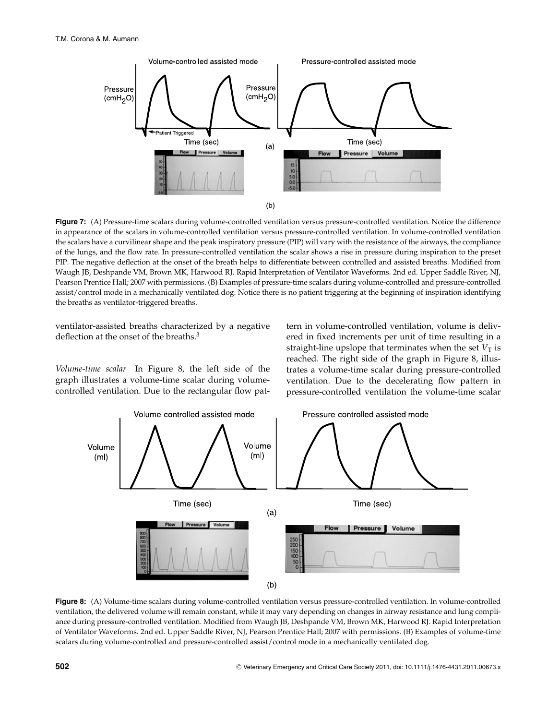

**Figure 7:** (A) Pressure-time scalars during volume-controlled ventilation versus pressure-controlled ventilation. Notice the difference in appearance of the scalars in volume-controlled ventilation versus pressure-controlled ventilation. In volume-controlled ventilation the scalars have a curvilinear shape and the peak inspiratory pressure (PIP) will vary with the resistance of the airways, the compliance of the lungs, and the flow rate. In pressure-controlled ventilation the scalar shows a rise in pressure during inspiration to the preset PIP. The negative deflection at the onset of the breath helps to differentiate between controlled and assisted breaths. Modified from Waugh JB, Deshpande VM, Brown MK, Harwood RJ. Rapid Interpretation of Ventilator Waveforms. 2nd ed. Upper Saddle River, NJ, Pearson Prentice Hall; 2007 with permissions. (B) Examples of pressure-time scalars during volume-controlled and pressure-controlled assist/control mode in a mechanically ventilated dog. Notice there is no patient triggering at the beginning of inspiration identifying the breaths as ventilator-triggered breaths.

ventilator-assisted breaths characterized by a negative deflection at the onset of the breaths.<sup>3</sup>

*Volume-time scalar* In Figure 8, the left side of the graph illustrates a volume-time scalar during volumecontrolled ventilation. Due to the rectangular flow pattern in volume-controlled ventilation, volume is delivered in fixed increments per unit of time resulting in a straight-line upslope that terminates when the set  $V<sub>T</sub>$  is reached. The right side of the graph in Figure 8, illustrates a volume-time scalar during pressure-controlled ventilation. Due to the decelerating flow pattern in pressure-controlled ventilation the volume-time scalar



**Figure 8:** (A) Volume-time scalars during volume-controlled ventilation versus pressure-controlled ventilation. In volume-controlled ventilation, the delivered volume will remain constant, while it may vary depending on changes in airway resistance and lung compliance during pressure-controlled ventilation. Modified from Waugh JB, Deshpande VM, Brown MK, Harwood RJ. Rapid Interpretation of Ventilator Waveforms. 2nd ed. Upper Saddle River, NJ, Pearson Prentice Hall; 2007 with permissions. (B) Examples of volume-time scalars during volume-controlled and pressure-controlled assist/control mode in a mechanically ventilated dog.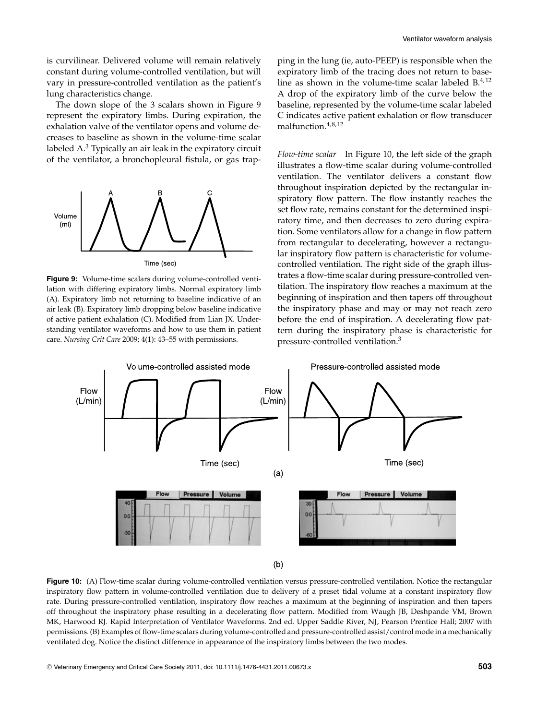is curvilinear. Delivered volume will remain relatively constant during volume-controlled ventilation, but will vary in pressure-controlled ventilation as the patient's lung characteristics change.

The down slope of the 3 scalars shown in Figure 9 represent the expiratory limbs. During expiration, the exhalation valve of the ventilator opens and volume decreases to baseline as shown in the volume-time scalar labeled A.3 Typically an air leak in the expiratory circuit of the ventilator, a bronchopleural fistula, or gas trap-



**Figure 9:** Volume-time scalars during volume-controlled ventilation with differing expiratory limbs. Normal expiratory limb (A). Expiratory limb not returning to baseline indicative of an air leak (B). Expiratory limb dropping below baseline indicative of active patient exhalation (C). Modified from Lian JX. Understanding ventilator waveforms and how to use them in patient care. *Nursing Crit Care* 2009; 4(1): 43–55 with permissions.

ping in the lung (ie, auto-PEEP) is responsible when the expiratory limb of the tracing does not return to baseline as shown in the volume-time scalar labeled  $B^{4,12}$ A drop of the expiratory limb of the curve below the baseline, represented by the volume-time scalar labeled C indicates active patient exhalation or flow transducer malfunction.<sup>4,8,12</sup>

*Flow-time scalar* In Figure 10, the left side of the graph illustrates a flow-time scalar during volume-controlled ventilation. The ventilator delivers a constant flow throughout inspiration depicted by the rectangular inspiratory flow pattern. The flow instantly reaches the set flow rate, remains constant for the determined inspiratory time, and then decreases to zero during expiration. Some ventilators allow for a change in flow pattern from rectangular to decelerating, however a rectangular inspiratory flow pattern is characteristic for volumecontrolled ventilation. The right side of the graph illustrates a flow-time scalar during pressure-controlled ventilation. The inspiratory flow reaches a maximum at the beginning of inspiration and then tapers off throughout the inspiratory phase and may or may not reach zero before the end of inspiration. A decelerating flow pattern during the inspiratory phase is characteristic for pressure-controlled ventilation.<sup>3</sup>



**Figure 10:** (A) Flow-time scalar during volume-controlled ventilation versus pressure-controlled ventilation. Notice the rectangular inspiratory flow pattern in volume-controlled ventilation due to delivery of a preset tidal volume at a constant inspiratory flow rate. During pressure-controlled ventilation, inspiratory flow reaches a maximum at the beginning of inspiration and then tapers off throughout the inspiratory phase resulting in a decelerating flow pattern. Modified from Waugh JB, Deshpande VM, Brown MK, Harwood RJ. Rapid Interpretation of Ventilator Waveforms. 2nd ed. Upper Saddle River, NJ, Pearson Prentice Hall; 2007 with permissions. (B) Examples of flow-time scalars during volume-controlled and pressure-controlled assist/control mode in a mechanically ventilated dog. Notice the distinct difference in appearance of the inspiratory limbs between the two modes.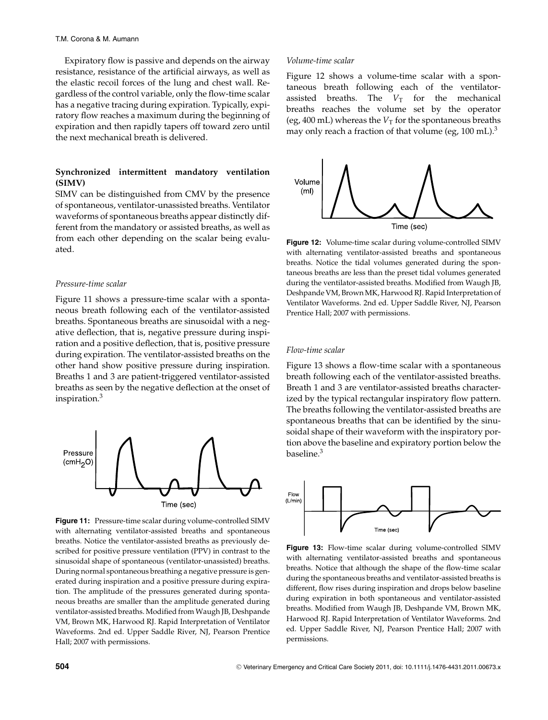#### T.M. Corona & M. Aumann

Expiratory flow is passive and depends on the airway resistance, resistance of the artificial airways, as well as the elastic recoil forces of the lung and chest wall. Regardless of the control variable, only the flow-time scalar has a negative tracing during expiration. Typically, expiratory flow reaches a maximum during the beginning of expiration and then rapidly tapers off toward zero until the next mechanical breath is delivered.

# **Synchronized intermittent mandatory ventilation (SIMV)**

SIMV can be distinguished from CMV by the presence of spontaneous, ventilator-unassisted breaths. Ventilator waveforms of spontaneous breaths appear distinctly different from the mandatory or assisted breaths, as well as from each other depending on the scalar being evaluated.

### *Pressure-time scalar*

Figure 11 shows a pressure-time scalar with a spontaneous breath following each of the ventilator-assisted breaths. Spontaneous breaths are sinusoidal with a negative deflection, that is, negative pressure during inspiration and a positive deflection, that is, positive pressure during expiration. The ventilator-assisted breaths on the other hand show positive pressure during inspiration. Breaths 1 and 3 are patient-triggered ventilator-assisted breaths as seen by the negative deflection at the onset of inspiration.3



**Figure 11:** Pressure-time scalar during volume-controlled SIMV with alternating ventilator-assisted breaths and spontaneous breaths. Notice the ventilator-assisted breaths as previously described for positive pressure ventilation (PPV) in contrast to the sinusoidal shape of spontaneous (ventilator-unassisted) breaths. During normal spontaneous breathing a negative pressure is generated during inspiration and a positive pressure during expiration. The amplitude of the pressures generated during spontaneous breaths are smaller than the amplitude generated during ventilator-assisted breaths. Modified from Waugh JB, Deshpande VM, Brown MK, Harwood RJ. Rapid Interpretation of Ventilator Waveforms. 2nd ed. Upper Saddle River, NJ, Pearson Prentice Hall; 2007 with permissions.

#### *Volume-time scalar*

Figure 12 shows a volume-time scalar with a spontaneous breath following each of the ventilatorassisted breaths. The  $V<sub>T</sub>$  for the mechanical breaths reaches the volume set by the operator (eg, 400 mL) whereas the  $V<sub>T</sub>$  for the spontaneous breaths may only reach a fraction of that volume (eg,  $100 \text{ mL}$ ).<sup>3</sup>



**Figure 12:** Volume-time scalar during volume-controlled SIMV with alternating ventilator-assisted breaths and spontaneous breaths. Notice the tidal volumes generated during the spontaneous breaths are less than the preset tidal volumes generated during the ventilator-assisted breaths. Modified from Waugh JB, Deshpande VM, Brown MK, Harwood RJ. Rapid Interpretation of Ventilator Waveforms. 2nd ed. Upper Saddle River, NJ, Pearson Prentice Hall; 2007 with permissions.

## *Flow-time scalar*

Figure 13 shows a flow-time scalar with a spontaneous breath following each of the ventilator-assisted breaths. Breath 1 and 3 are ventilator-assisted breaths characterized by the typical rectangular inspiratory flow pattern. The breaths following the ventilator-assisted breaths are spontaneous breaths that can be identified by the sinusoidal shape of their waveform with the inspiratory portion above the baseline and expiratory portion below the baseline.3



**Figure 13:** Flow-time scalar during volume-controlled SIMV with alternating ventilator-assisted breaths and spontaneous breaths. Notice that although the shape of the flow-time scalar during the spontaneous breaths and ventilator-assisted breaths is different, flow rises during inspiration and drops below baseline during expiration in both spontaneous and ventilator-assisted breaths. Modified from Waugh JB, Deshpande VM, Brown MK, Harwood RJ. Rapid Interpretation of Ventilator Waveforms. 2nd ed. Upper Saddle River, NJ, Pearson Prentice Hall; 2007 with permissions.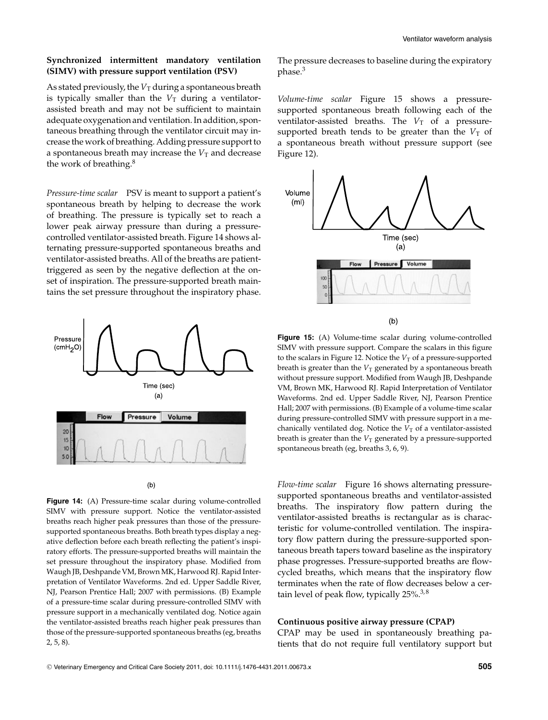## **Synchronized intermittent mandatory ventilation (SIMV) with pressure support ventilation (PSV)**

As stated previously, the  $V_T$  during a spontaneous breath is typically smaller than the  $V_T$  during a ventilatorassisted breath and may not be sufficient to maintain adequate oxygenation and ventilation. In addition, spontaneous breathing through the ventilator circuit may increase the work of breathing. Adding pressure support to a spontaneous breath may increase the  $V<sub>T</sub>$  and decrease the work of breathing.<sup>8</sup>

*Pressure-time scalar* PSV is meant to support a patient's spontaneous breath by helping to decrease the work of breathing. The pressure is typically set to reach a lower peak airway pressure than during a pressurecontrolled ventilator-assisted breath. Figure 14 shows alternating pressure-supported spontaneous breaths and ventilator-assisted breaths. All of the breaths are patienttriggered as seen by the negative deflection at the onset of inspiration. The pressure-supported breath maintains the set pressure throughout the inspiratory phase.





**Figure 14:** (A) Pressure-time scalar during volume-controlled SIMV with pressure support. Notice the ventilator-assisted breaths reach higher peak pressures than those of the pressuresupported spontaneous breaths. Both breath types display a negative deflection before each breath reflecting the patient's inspiratory efforts. The pressure-supported breaths will maintain the set pressure throughout the inspiratory phase. Modified from Waugh JB, Deshpande VM, Brown MK, Harwood RJ. Rapid Interpretation of Ventilator Waveforms. 2nd ed. Upper Saddle River, NJ, Pearson Prentice Hall; 2007 with permissions. (B) Example of a pressure-time scalar during pressure-controlled SIMV with pressure support in a mechanically ventilated dog. Notice again the ventilator-assisted breaths reach higher peak pressures than those of the pressure-supported spontaneous breaths (eg, breaths 2, 5, 8).

The pressure decreases to baseline during the expiratory phase.<sup>3</sup>

*Volume-time scalar* Figure 15 shows a pressuresupported spontaneous breath following each of the ventilator-assisted breaths. The  $V<sub>T</sub>$  of a pressuresupported breath tends to be greater than the  $V<sub>T</sub>$  of a spontaneous breath without pressure support (see Figure 12).



**Figure 15:** (A) Volume-time scalar during volume-controlled SIMV with pressure support. Compare the scalars in this figure to the scalars in Figure 12. Notice the  $V<sub>T</sub>$  of a pressure-supported breath is greater than the  $V_T$  generated by a spontaneous breath without pressure support. Modified from Waugh JB, Deshpande VM, Brown MK, Harwood RJ. Rapid Interpretation of Ventilator Waveforms. 2nd ed. Upper Saddle River, NJ, Pearson Prentice Hall; 2007 with permissions. (B) Example of a volume-time scalar during pressure-controlled SIMV with pressure support in a mechanically ventilated dog. Notice the  $V<sub>T</sub>$  of a ventilator-assisted breath is greater than the  $V_T$  generated by a pressure-supported spontaneous breath (eg, breaths 3, 6, 9).

*Flow-time scalar* Figure 16 shows alternating pressuresupported spontaneous breaths and ventilator-assisted breaths. The inspiratory flow pattern during the ventilator-assisted breaths is rectangular as is characteristic for volume-controlled ventilation. The inspiratory flow pattern during the pressure-supported spontaneous breath tapers toward baseline as the inspiratory phase progresses. Pressure-supported breaths are flowcycled breaths, which means that the inspiratory flow terminates when the rate of flow decreases below a certain level of peak flow, typically  $25\%^{3,8}$ 

## **Continuous positive airway pressure (CPAP)**

CPAP may be used in spontaneously breathing patients that do not require full ventilatory support but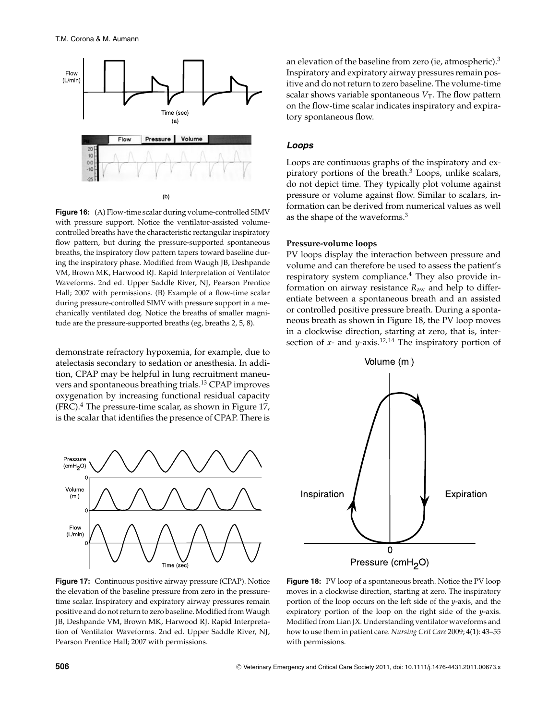

**Figure 16:** (A) Flow-time scalar during volume-controlled SIMV with pressure support. Notice the ventilator-assisted volumecontrolled breaths have the characteristic rectangular inspiratory flow pattern, but during the pressure-supported spontaneous breaths, the inspiratory flow pattern tapers toward baseline during the inspiratory phase. Modified from Waugh JB, Deshpande VM, Brown MK, Harwood RJ. Rapid Interpretation of Ventilator Waveforms. 2nd ed. Upper Saddle River, NJ, Pearson Prentice Hall; 2007 with permissions. (B) Example of a flow-time scalar during pressure-controlled SIMV with pressure support in a mechanically ventilated dog. Notice the breaths of smaller magnitude are the pressure-supported breaths (eg, breaths 2, 5, 8).

demonstrate refractory hypoxemia, for example, due to atelectasis secondary to sedation or anesthesia. In addition, CPAP may be helpful in lung recruitment maneuvers and spontaneous breathing trials.<sup>13</sup> CPAP improves oxygenation by increasing functional residual capacity (FRC).<sup>4</sup> The pressure-time scalar, as shown in Figure 17, is the scalar that identifies the presence of CPAP. There is



**Figure 17:** Continuous positive airway pressure (CPAP). Notice the elevation of the baseline pressure from zero in the pressuretime scalar. Inspiratory and expiratory airway pressures remain positive and do not return to zero baseline. Modified from Waugh JB, Deshpande VM, Brown MK, Harwood RJ. Rapid Interpretation of Ventilator Waveforms. 2nd ed. Upper Saddle River, NJ, Pearson Prentice Hall; 2007 with permissions.

an elevation of the baseline from zero (ie, atmospheric). $3$ Inspiratory and expiratory airway pressures remain positive and do not return to zero baseline. The volume-time scalar shows variable spontaneous  $V<sub>T</sub>$ . The flow pattern on the flow-time scalar indicates inspiratory and expiratory spontaneous flow.

#### **Loops**

Loops are continuous graphs of the inspiratory and expiratory portions of the breath. $3$  Loops, unlike scalars, do not depict time. They typically plot volume against pressure or volume against flow. Similar to scalars, information can be derived from numerical values as well as the shape of the waveforms.<sup>3</sup>

### **Pressure-volume loops**

PV loops display the interaction between pressure and volume and can therefore be used to assess the patient's respiratory system compliance.<sup>4</sup> They also provide information on airway resistance  $R_{aw}$  and help to differentiate between a spontaneous breath and an assisted or controlled positive pressure breath. During a spontaneous breath as shown in Figure 18, the PV loop moves in a clockwise direction, starting at zero, that is, intersection of  $x$ - and  $y$ -axis.<sup>12, 14</sup> The inspiratory portion of



**Figure 18:** PV loop of a spontaneous breath. Notice the PV loop moves in a clockwise direction, starting at zero. The inspiratory portion of the loop occurs on the left side of the *y*-axis, and the expiratory portion of the loop on the right side of the *y*-axis. Modified from Lian JX. Understanding ventilator waveforms and how to use them in patient care. *Nursing Crit Care* 2009; 4(1): 43–55 with permissions.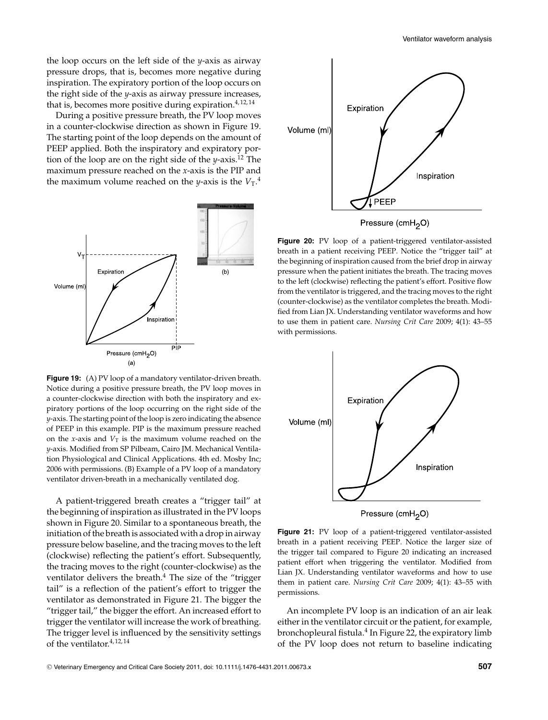the loop occurs on the left side of the *y*-axis as airway pressure drops, that is, becomes more negative during inspiration. The expiratory portion of the loop occurs on the right side of the *y*-axis as airway pressure increases, that is, becomes more positive during expiration.<sup>4,12,14</sup>

During a positive pressure breath, the PV loop moves in a counter-clockwise direction as shown in Figure 19. The starting point of the loop depends on the amount of PEEP applied. Both the inspiratory and expiratory portion of the loop are on the right side of the *y*-axis.12 The maximum pressure reached on the *x*-axis is the PIP and the maximum volume reached on the *y*-axis is the  $V_T$ .<sup>4</sup>



**Figure 19:** (A) PV loop of a mandatory ventilator-driven breath. Notice during a positive pressure breath, the PV loop moves in a counter-clockwise direction with both the inspiratory and expiratory portions of the loop occurring on the right side of the *y*-axis. The starting point of the loop is zero indicating the absence of PEEP in this example. PIP is the maximum pressure reached on the *x*-axis and  $V_T$  is the maximum volume reached on the *y*-axis. Modified from SP Pilbeam, Cairo JM. Mechanical Ventilation Physiological and Clinical Applications. 4th ed. Mosby Inc; 2006 with permissions. (B) Example of a PV loop of a mandatory ventilator driven-breath in a mechanically ventilated dog.

A patient-triggered breath creates a "trigger tail" at the beginning of inspiration as illustrated in the PV loops shown in Figure 20. Similar to a spontaneous breath, the initiation of the breath is associated with a drop in airway pressure below baseline, and the tracing moves to the left (clockwise) reflecting the patient's effort. Subsequently, the tracing moves to the right (counter-clockwise) as the ventilator delivers the breath. $4$  The size of the "trigger" tail" is a reflection of the patient's effort to trigger the ventilator as demonstrated in Figure 21. The bigger the "trigger tail," the bigger the effort. An increased effort to trigger the ventilator will increase the work of breathing. The trigger level is influenced by the sensitivity settings of the ventilator.<sup>4, 12, 14</sup>



Pressure (cmH<sub>2</sub>O)

**Figure 20:** PV loop of a patient-triggered ventilator-assisted breath in a patient receiving PEEP. Notice the "trigger tail" at the beginning of inspiration caused from the brief drop in airway pressure when the patient initiates the breath. The tracing moves to the left (clockwise) reflecting the patient's effort. Positive flow from the ventilator is triggered, and the tracing moves to the right (counter-clockwise) as the ventilator completes the breath. Modified from Lian JX. Understanding ventilator waveforms and how to use them in patient care. *Nursing Crit Care* 2009; 4(1): 43–55 with permissions.



**Figure 21:** PV loop of a patient-triggered ventilator-assisted breath in a patient receiving PEEP. Notice the larger size of the trigger tail compared to Figure 20 indicating an increased patient effort when triggering the ventilator. Modified from Lian JX. Understanding ventilator waveforms and how to use them in patient care. *Nursing Crit Care* 2009; 4(1): 43–55 with permissions.

An incomplete PV loop is an indication of an air leak either in the ventilator circuit or the patient, for example, bronchopleural fistula.<sup>4</sup> In Figure 22, the expiratory limb of the PV loop does not return to baseline indicating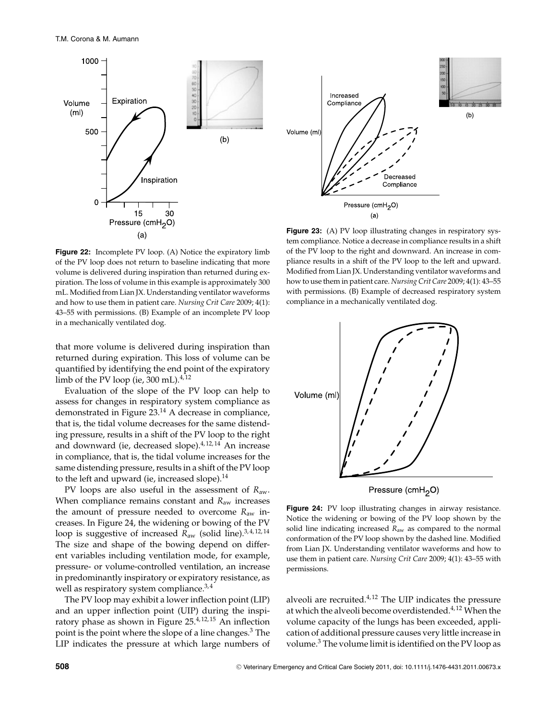

**Figure 22:** Incomplete PV loop. (A) Notice the expiratory limb of the PV loop does not return to baseline indicating that more volume is delivered during inspiration than returned during expiration. The loss of volume in this example is approximately 300 mL. Modified from Lian JX. Understanding ventilator waveforms and how to use them in patient care. *Nursing Crit Care* 2009; 4(1): 43–55 with permissions. (B) Example of an incomplete PV loop in a mechanically ventilated dog.

that more volume is delivered during inspiration than returned during expiration. This loss of volume can be quantified by identifying the end point of the expiratory limb of the PV loop (ie, 300 mL). $4,12$ 

Evaluation of the slope of the PV loop can help to assess for changes in respiratory system compliance as demonstrated in Figure 23.<sup>14</sup> A decrease in compliance, that is, the tidal volume decreases for the same distending pressure, results in a shift of the PV loop to the right and downward (ie, decreased slope).<sup>4, 12, 14</sup> An increase in compliance, that is, the tidal volume increases for the same distending pressure, results in a shift of the PV loop to the left and upward (ie, increased slope). $^{14}$ 

PV loops are also useful in the assessment of *R*aw. When compliance remains constant and *R*<sub>aw</sub> increases the amount of pressure needed to overcome *R*aw increases. In Figure 24, the widening or bowing of the PV loop is suggestive of increased  $R_{aw}$  (solid line).<sup>3,4,12,14</sup> The size and shape of the bowing depend on different variables including ventilation mode, for example, pressure- or volume-controlled ventilation, an increase in predominantly inspiratory or expiratory resistance, as well as respiratory system compliance. $3,4$ 

The PV loop may exhibit a lower inflection point (LIP) and an upper inflection point (UIP) during the inspiratory phase as shown in Figure 25.4, 12, 15 An inflection point is the point where the slope of a line changes.<sup>3</sup> The LIP indicates the pressure at which large numbers of

**Figure 23:** (A) PV loop illustrating changes in respiratory system compliance. Notice a decrease in compliance results in a shift of the PV loop to the right and downward. An increase in compliance results in a shift of the PV loop to the left and upward. Modified from Lian JX. Understanding ventilator waveforms and how to use them in patient care. *Nursing Crit Care* 2009; 4(1): 43–55 with permissions. (B) Example of decreased respiratory system compliance in a mechanically ventilated dog.



**Figure 24:** PV loop illustrating changes in airway resistance. Notice the widening or bowing of the PV loop shown by the solid line indicating increased *R*aw as compared to the normal conformation of the PV loop shown by the dashed line. Modified from Lian JX. Understanding ventilator waveforms and how to use them in patient care. *Nursing Crit Care* 2009; 4(1): 43–55 with permissions.

alveoli are recruited. $4,12$  The UIP indicates the pressure at which the alveoli become overdistended.<sup>4,12</sup> When the volume capacity of the lungs has been exceeded, application of additional pressure causes very little increase in volume.3 The volume limit is identified on the PV loop as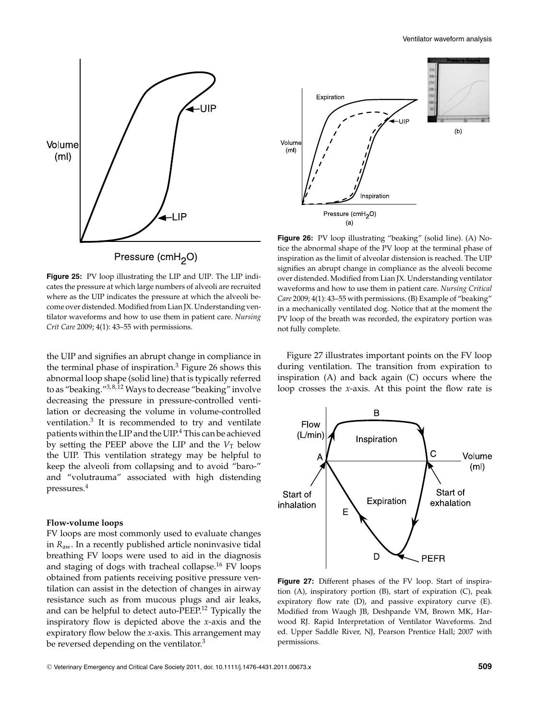

**Figure 25:** PV loop illustrating the LIP and UIP. The LIP indicates the pressure at which large numbers of alveoli are recruited where as the UIP indicates the pressure at which the alveoli become over distended.Modified from Lian JX. Understanding ventilator waveforms and how to use them in patient care. *Nursing Crit Care* 2009; 4(1): 43–55 with permissions.

the UIP and signifies an abrupt change in compliance in the terminal phase of inspiration. $3$  Figure 26 shows this abnormal loop shape (solid line) that is typically referred to as "beaking."<sup>3,8,12</sup> Ways to decrease "beaking" involve decreasing the pressure in pressure-controlled ventilation or decreasing the volume in volume-controlled ventilation.<sup>3</sup> It is recommended to try and ventilate patients within the LIP and the UIP.<sup>4</sup> This can be achieved by setting the PEEP above the LIP and the  $V<sub>T</sub>$  below the UIP. This ventilation strategy may be helpful to keep the alveoli from collapsing and to avoid "baro-" and "volutrauma" associated with high distending pressures.4

#### **Flow-volume loops**

FV loops are most commonly used to evaluate changes in *R*aw. In a recently published article noninvasive tidal breathing FV loops were used to aid in the diagnosis and staging of dogs with tracheal collapse.16 FV loops obtained from patients receiving positive pressure ventilation can assist in the detection of changes in airway resistance such as from mucous plugs and air leaks, and can be helpful to detect auto-PEEP.<sup>12</sup> Typically the inspiratory flow is depicted above the *x*-axis and the expiratory flow below the *x*-axis. This arrangement may be reversed depending on the ventilator. $3$ 



**Figure 26:** PV loop illustrating "beaking" (solid line). (A) Notice the abnormal shape of the PV loop at the terminal phase of inspiration as the limit of alveolar distension is reached. The UIP signifies an abrupt change in compliance as the alveoli become over distended. Modified from Lian JX. Understanding ventilator waveforms and how to use them in patient care. *Nursing Critical Care* 2009; 4(1): 43–55 with permissions. (B) Example of "beaking" in a mechanically ventilated dog. Notice that at the moment the PV loop of the breath was recorded, the expiratory portion was not fully complete.

Figure 27 illustrates important points on the FV loop during ventilation. The transition from expiration to inspiration (A) and back again (C) occurs where the loop crosses the *x*-axis. At this point the flow rate is



**Figure 27:** Different phases of the FV loop. Start of inspiration (A), inspiratory portion (B), start of expiration (C), peak expiratory flow rate (D), and passive expiratory curve (E). Modified from Waugh JB, Deshpande VM, Brown MK, Harwood RJ. Rapid Interpretation of Ventilator Waveforms. 2nd ed. Upper Saddle River, NJ, Pearson Prentice Hall; 2007 with permissions.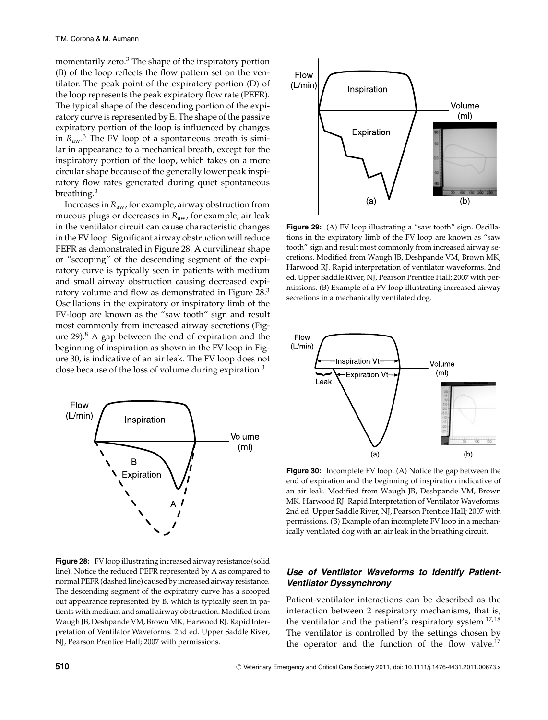momentarily zero.<sup>3</sup> The shape of the inspiratory portion (B) of the loop reflects the flow pattern set on the ventilator. The peak point of the expiratory portion (D) of the loop represents the peak expiratory flow rate (PEFR). The typical shape of the descending portion of the expiratory curve is represented by E. The shape of the passive expiratory portion of the loop is influenced by changes in *R*aw. <sup>3</sup> The FV loop of a spontaneous breath is similar in appearance to a mechanical breath, except for the inspiratory portion of the loop, which takes on a more circular shape because of the generally lower peak inspiratory flow rates generated during quiet spontaneous breathing.3

Increases in *R*aw, for example, airway obstruction from mucous plugs or decreases in *R*aw, for example, air leak in the ventilator circuit can cause characteristic changes in the FV loop. Significant airway obstruction will reduce PEFR as demonstrated in Figure 28. A curvilinear shape or "scooping" of the descending segment of the expiratory curve is typically seen in patients with medium and small airway obstruction causing decreased expiratory volume and flow as demonstrated in Figure 28.<sup>3</sup> Oscillations in the expiratory or inspiratory limb of the FV-loop are known as the "saw tooth" sign and result most commonly from increased airway secretions (Figure  $29$ ).<sup>8</sup> A gap between the end of expiration and the beginning of inspiration as shown in the FV loop in Figure 30, is indicative of an air leak. The FV loop does not close because of the loss of volume during expiration.3



**Figure 28:** FV loop illustrating increased airway resistance (solid line). Notice the reduced PEFR represented by A as compared to normal PEFR (dashed line) caused by increased airway resistance. The descending segment of the expiratory curve has a scooped out appearance represented by B, which is typically seen in patients with medium and small airway obstruction. Modified from Waugh JB, Deshpande VM, Brown MK, Harwood RJ. Rapid Interpretation of Ventilator Waveforms. 2nd ed. Upper Saddle River, NJ, Pearson Prentice Hall; 2007 with permissions.



**Figure 29:** (A) FV loop illustrating a "saw tooth" sign. Oscillations in the expiratory limb of the FV loop are known as "saw tooth" sign and result most commonly from increased airway secretions. Modified from Waugh JB, Deshpande VM, Brown MK, Harwood RJ. Rapid interpretation of ventilator waveforms. 2nd ed. Upper Saddle River, NJ, Pearson Prentice Hall; 2007 with permissions. (B) Example of a FV loop illustrating increased airway secretions in a mechanically ventilated dog.



**Figure 30:** Incomplete FV loop. (A) Notice the gap between the end of expiration and the beginning of inspiration indicative of an air leak. Modified from Waugh JB, Deshpande VM, Brown MK, Harwood RJ. Rapid Interpretation of Ventilator Waveforms. 2nd ed. Upper Saddle River, NJ, Pearson Prentice Hall; 2007 with permissions. (B) Example of an incomplete FV loop in a mechanically ventilated dog with an air leak in the breathing circuit.

# **Use of Ventilator Waveforms to Identify Patient-Ventilator Dyssynchrony**

Patient-ventilator interactions can be described as the interaction between 2 respiratory mechanisms, that is, the ventilator and the patient's respiratory system.<sup>17,18</sup> The ventilator is controlled by the settings chosen by the operator and the function of the flow valve.<sup>17</sup>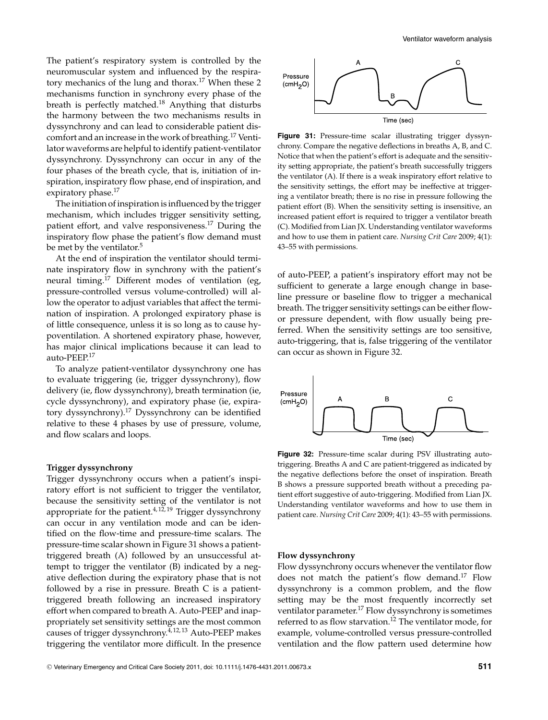The patient's respiratory system is controlled by the neuromuscular system and influenced by the respiratory mechanics of the lung and thorax.<sup>17</sup> When these 2 mechanisms function in synchrony every phase of the breath is perfectly matched.<sup>18</sup> Anything that disturbs the harmony between the two mechanisms results in dyssynchrony and can lead to considerable patient discomfort and an increase in the work of breathing.17 Ventilator waveforms are helpful to identify patient-ventilator dyssynchrony. Dyssynchrony can occur in any of the four phases of the breath cycle, that is, initiation of inspiration, inspiratory flow phase, end of inspiration, and expiratory phase.<sup>17</sup>

The initiation of inspiration is influenced by the trigger mechanism, which includes trigger sensitivity setting, patient effort, and valve responsiveness.<sup>17</sup> During the inspiratory flow phase the patient's flow demand must be met by the ventilator.<sup>5</sup>

At the end of inspiration the ventilator should terminate inspiratory flow in synchrony with the patient's neural timing.<sup>17</sup> Different modes of ventilation (eg, pressure-controlled versus volume-controlled) will allow the operator to adjust variables that affect the termination of inspiration. A prolonged expiratory phase is of little consequence, unless it is so long as to cause hypoventilation. A shortened expiratory phase, however, has major clinical implications because it can lead to auto-PEEP.17

To analyze patient-ventilator dyssynchrony one has to evaluate triggering (ie, trigger dyssynchrony), flow delivery (ie, flow dyssynchrony), breath termination (ie, cycle dyssynchrony), and expiratory phase (ie, expiratory dyssynchrony).<sup>17</sup> Dyssynchrony can be identified relative to these 4 phases by use of pressure, volume, and flow scalars and loops.

# **Trigger dyssynchrony**

Trigger dyssynchrony occurs when a patient's inspiratory effort is not sufficient to trigger the ventilator, because the sensitivity setting of the ventilator is not appropriate for the patient. $4,12,19$  Trigger dyssynchrony can occur in any ventilation mode and can be identified on the flow-time and pressure-time scalars. The pressure-time scalar shown in Figure 31 shows a patienttriggered breath (A) followed by an unsuccessful attempt to trigger the ventilator (B) indicated by a negative deflection during the expiratory phase that is not followed by a rise in pressure. Breath C is a patienttriggered breath following an increased inspiratory effort when compared to breath A. Auto-PEEP and inappropriately set sensitivity settings are the most common causes of trigger dyssynchrony.<sup>4, 12, 13</sup> Auto-PEEP makes triggering the ventilator more difficult. In the presence



**Figure 31:** Pressure-time scalar illustrating trigger dyssynchrony. Compare the negative deflections in breaths A, B, and C. Notice that when the patient's effort is adequate and the sensitivity setting appropriate, the patient's breath successfully triggers the ventilator (A). If there is a weak inspiratory effort relative to the sensitivity settings, the effort may be ineffective at triggering a ventilator breath; there is no rise in pressure following the patient effort (B). When the sensitivity setting is insensitive, an increased patient effort is required to trigger a ventilator breath (C). Modified from Lian JX. Understanding ventilator waveforms and how to use them in patient care. *Nursing Crit Care* 2009; 4(1): 43–55 with permissions.

of auto-PEEP, a patient's inspiratory effort may not be sufficient to generate a large enough change in baseline pressure or baseline flow to trigger a mechanical breath. The trigger sensitivity settings can be either flowor pressure dependent, with flow usually being preferred. When the sensitivity settings are too sensitive, auto-triggering, that is, false triggering of the ventilator can occur as shown in Figure 32.



**Figure 32:** Pressure-time scalar during PSV illustrating autotriggering. Breaths A and C are patient-triggered as indicated by the negative deflections before the onset of inspiration. Breath B shows a pressure supported breath without a preceding patient effort suggestive of auto-triggering. Modified from Lian JX. Understanding ventilator waveforms and how to use them in patient care. *Nursing Crit Care* 2009; 4(1): 43–55 with permissions.

#### **Flow dyssynchrony**

Flow dyssynchrony occurs whenever the ventilator flow does not match the patient's flow demand.<sup>17</sup> Flow dyssynchrony is a common problem, and the flow setting may be the most frequently incorrectly set ventilator parameter.<sup>17</sup> Flow dyssynchrony is sometimes referred to as flow starvation.<sup>12</sup> The ventilator mode, for example, volume-controlled versus pressure-controlled ventilation and the flow pattern used determine how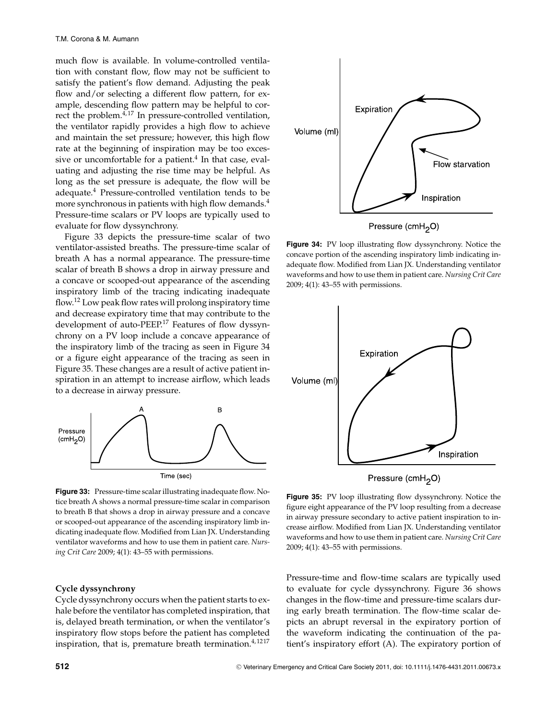much flow is available. In volume-controlled ventilation with constant flow, flow may not be sufficient to satisfy the patient's flow demand. Adjusting the peak flow and/or selecting a different flow pattern, for example, descending flow pattern may be helpful to correct the problem.<sup>4,17</sup> In pressure-controlled ventilation, the ventilator rapidly provides a high flow to achieve and maintain the set pressure; however, this high flow rate at the beginning of inspiration may be too excessive or uncomfortable for a patient. $4$  In that case, evaluating and adjusting the rise time may be helpful. As long as the set pressure is adequate, the flow will be adequate.4 Pressure-controlled ventilation tends to be more synchronous in patients with high flow demands.<sup>4</sup> Pressure-time scalars or PV loops are typically used to evaluate for flow dyssynchrony.

Figure 33 depicts the pressure-time scalar of two ventilator-assisted breaths. The pressure-time scalar of breath A has a normal appearance. The pressure-time scalar of breath B shows a drop in airway pressure and a concave or scooped-out appearance of the ascending inspiratory limb of the tracing indicating inadequate flow.<sup>12</sup> Low peak flow rates will prolong inspiratory time and decrease expiratory time that may contribute to the development of auto-PEEP.<sup>17</sup> Features of flow dyssynchrony on a PV loop include a concave appearance of the inspiratory limb of the tracing as seen in Figure 34 or a figure eight appearance of the tracing as seen in Figure 35. These changes are a result of active patient inspiration in an attempt to increase airflow, which leads to a decrease in airway pressure.



**Figure 33:** Pressure-time scalar illustrating inadequate flow. Notice breath A shows a normal pressure-time scalar in comparison to breath B that shows a drop in airway pressure and a concave or scooped-out appearance of the ascending inspiratory limb indicating inadequate flow. Modified from Lian JX. Understanding ventilator waveforms and how to use them in patient care. *Nursing Crit Care* 2009; 4(1): 43–55 with permissions.

#### **Cycle dyssynchrony**

Cycle dyssynchrony occurs when the patient starts to exhale before the ventilator has completed inspiration, that is, delayed breath termination, or when the ventilator's inspiratory flow stops before the patient has completed inspiration, that is, premature breath termination. $4,1217$ 



**Figure 34:** PV loop illustrating flow dyssynchrony. Notice the concave portion of the ascending inspiratory limb indicating inadequate flow. Modified from Lian JX. Understanding ventilator waveforms and how to use them in patient care. *Nursing Crit Care* 2009; 4(1): 43–55 with permissions.



**Figure 35:** PV loop illustrating flow dyssynchrony. Notice the figure eight appearance of the PV loop resulting from a decrease in airway pressure secondary to active patient inspiration to increase airflow. Modified from Lian JX. Understanding ventilator waveforms and how to use them in patient care. *Nursing Crit Care* 2009; 4(1): 43–55 with permissions.

Pressure-time and flow-time scalars are typically used to evaluate for cycle dyssynchrony. Figure 36 shows changes in the flow-time and pressure-time scalars during early breath termination. The flow-time scalar depicts an abrupt reversal in the expiratory portion of the waveform indicating the continuation of the patient's inspiratory effort (A). The expiratory portion of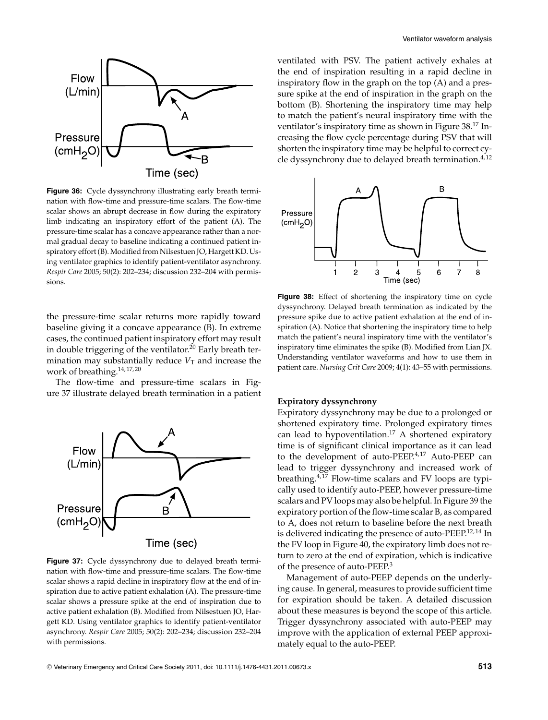

**Figure 36:** Cycle dyssynchrony illustrating early breath termination with flow-time and pressure-time scalars. The flow-time scalar shows an abrupt decrease in flow during the expiratory limb indicating an inspiratory effort of the patient (A). The pressure-time scalar has a concave appearance rather than a normal gradual decay to baseline indicating a continued patient inspiratory effort (B). Modified from Nilsestuen JO, Hargett KD. Using ventilator graphics to identify patient-ventilator asynchrony. *Respir Care* 2005; 50(2): 202–234; discussion 232–204 with permissions.

the pressure-time scalar returns more rapidly toward baseline giving it a concave appearance (B). In extreme cases, the continued patient inspiratory effort may result in double triggering of the ventilator.<sup>20</sup> Early breath termination may substantially reduce  $V<sub>T</sub>$  and increase the work of breathing. $14, 17, 20$ 

The flow-time and pressure-time scalars in Figure 37 illustrate delayed breath termination in a patient



**Figure 37:** Cycle dyssynchrony due to delayed breath termination with flow-time and pressure-time scalars. The flow-time scalar shows a rapid decline in inspiratory flow at the end of inspiration due to active patient exhalation (A). The pressure-time scalar shows a pressure spike at the end of inspiration due to active patient exhalation (B). Modified from Nilsestuen JO, Hargett KD. Using ventilator graphics to identify patient-ventilator asynchrony. *Respir Care* 2005; 50(2): 202–234; discussion 232–204 with permissions.

ventilated with PSV. The patient actively exhales at the end of inspiration resulting in a rapid decline in inspiratory flow in the graph on the top (A) and a pressure spike at the end of inspiration in the graph on the bottom (B). Shortening the inspiratory time may help to match the patient's neural inspiratory time with the ventilator's inspiratory time as shown in Figure 38.<sup>17</sup> Increasing the flow cycle percentage during PSV that will shorten the inspiratory time may be helpful to correct cycle dyssynchrony due to delayed breath termination.<sup>4,12</sup>



**Figure 38:** Effect of shortening the inspiratory time on cycle dyssynchrony. Delayed breath termination as indicated by the pressure spike due to active patient exhalation at the end of inspiration (A). Notice that shortening the inspiratory time to help match the patient's neural inspiratory time with the ventilator's inspiratory time eliminates the spike (B). Modified from Lian JX. Understanding ventilator waveforms and how to use them in patient care. *Nursing Crit Care* 2009; 4(1): 43–55 with permissions.

#### **Expiratory dyssynchrony**

Expiratory dyssynchrony may be due to a prolonged or shortened expiratory time. Prolonged expiratory times can lead to hypoventilation.<sup>17</sup> A shortened expiratory time is of significant clinical importance as it can lead to the development of auto-PEEP.<sup>4,17</sup> Auto-PEEP can lead to trigger dyssynchrony and increased work of breathing. $4,17$  Flow-time scalars and FV loops are typically used to identify auto-PEEP, however pressure-time scalars and PV loops may also be helpful. In Figure 39 the expiratory portion of the flow-time scalar B, as compared to A, does not return to baseline before the next breath is delivered indicating the presence of auto-PEEP.<sup>12,14</sup> In the FV loop in Figure 40, the expiratory limb does not return to zero at the end of expiration, which is indicative of the presence of auto-PEEP.3

Management of auto-PEEP depends on the underlying cause. In general, measures to provide sufficient time for expiration should be taken. A detailed discussion about these measures is beyond the scope of this article. Trigger dyssynchrony associated with auto-PEEP may improve with the application of external PEEP approximately equal to the auto-PEEP.